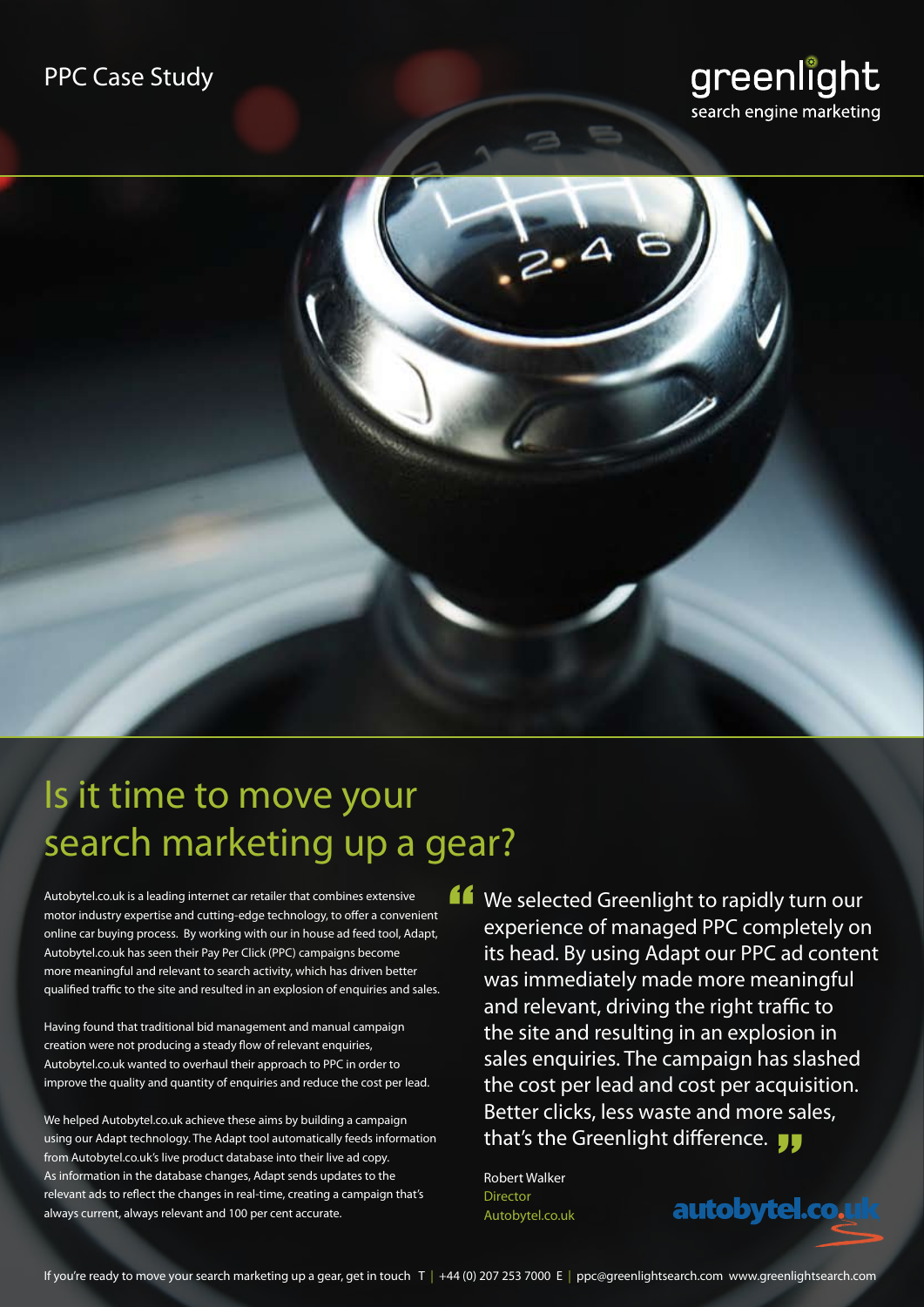### PPC Case Study





# Is it time to move your search marketing up a gear?

Autobytel.co.uk is a leading internet car retailer that combines extensive motor industry expertise and cutting-edge technology, to offer a convenient online car buying process. By working with our in house ad feed tool, Adapt, Autobytel.co.uk has seen their Pay Per Click (PPC) campaigns become more meaningful and relevant to search activity, which has driven better qualified traffic to the site and resulted in an explosion of enquiries and sales.

Having found that traditional bid management and manual campaign creation were not producing a steady flow of relevant enquiries, Autobytel.co.uk wanted to overhaul their approach to PPC in order to improve the quality and quantity of enquiries and reduce the cost per lead.

We helped Autobytel.co.uk achieve these aims by building a campaign using our Adapt technology. The Adapt tool automatically feeds information from Autobytel.co.uk's live product database into their live ad copy. As information in the database changes, Adapt sends updates to the relevant ads to reflect the changes in real-time, creating a campaign that's always current, always relevant and 100 per cent accurate.

We selected Greenlight to rapidly turn our<br>experience of managed PPC completely or<br>its head. By using Adapt our PPC ad conter experience of managed PPC completely on its head. By using Adapt our PPC ad content was immediately made more meaningful and relevant, driving the right traffic to the site and resulting in an explosion in sales enquiries. The campaign has slashed the cost per lead and cost per acquisition. Better clicks, less waste and more sales, that's the Greenlight difference.

autobytel.co.u

Robert Walker Director Autobytel.co.uk